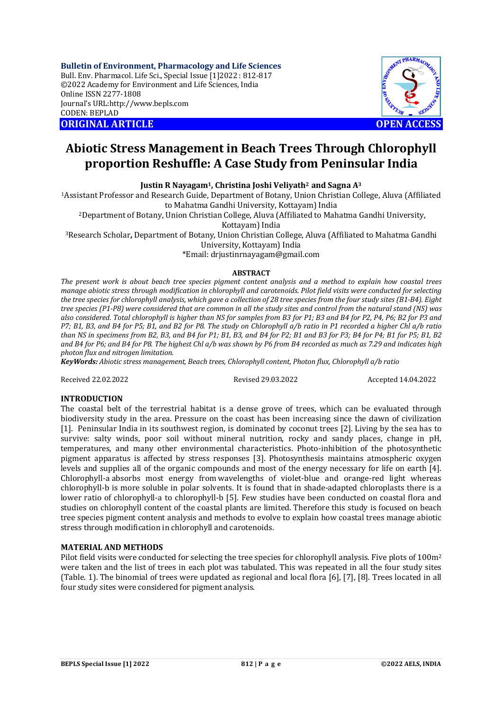**Bulletin of Environment, Pharmacology and Life Sciences** Bull. Env. Pharmacol. Life Sci., Special Issue [1]2022 : 812-817 ©2022 Academy for Environment and Life Sciences, India Online ISSN 2277-1808 Journal's URL:<http://www.bepls.com> CODEN: BEPLAD **ORIGINAL ARTICLE OPEN ACCESS** 



# **Abiotic Stress Management in Beach Trees Through Chlorophyll proportion Reshuffle: A Case Study from Peninsular India**

**Justin R Nayagam1, Christina Joshi Veliyath2 and Sagna A<sup>3</sup>**

<sup>1</sup>Assistant Professor and Research Guide, Department of Botany, Union Christian College, Aluva (Affiliated to Mahatma Gandhi University, Kottayam) India

<sup>2</sup>Department of Botany, Union Christian College, Aluva (Affiliated to Mahatma Gandhi University,

Kottayam) India

<sup>3</sup>Research Scholar**,** Department of Botany, Union Christian College, Aluva (Affiliated to Mahatma Gandhi

University, Kottayam) India

\*Email: [drjustinrnayagam@gmail.com](mailto:drjustinrnayagam@gmail.com)

# **ABSTRACT**

*The present work is about beach tree species pigment content analysis and a method to explain how coastal trees manage abiotic stress through modification in chlorophyll and carotenoids. Pilot field visits were conducted for selecting the tree species for chlorophyll analysis, which gave a collection of 28 tree species from the four study sites (B1-B4). Eight tree species (P1-P8) were considered that are common in all the study sites and control from the natural stand (NS) was also considered. Total chlorophyll is higher than NS for samples from B3 for P1; B3 and B4 for P2, P4, P6; B2 for P3 and P7; B1, B3, and B4 for P5; B1, and B2 for P8. The study on Chlorophyll a/b ratio in P1 recorded a higher Chl a/b ratio than NS in specimens from B2, B3, and B4 for P1; B1, B3, and B4 for P2; B1 and B3 for P3; B4 for P4; B1 for P5; B1, B2 and B4 for P6; and B4 for P8. The highest Chl a/b was shown by P6 from B4 recorded as much as 7.29 and indicates high photon flux and nitrogen limitation.*

*KeyWords: Abiotic stress management, Beach trees, Chlorophyll content, Photon flux, Chlorophyll a/b ratio*

Received 22.02.2022 Revised 29.03.2022 Accepted 14.04.2022

# **INTRODUCTION**

The coastal belt of the terrestrial habitat is a dense grove of trees, which can be evaluated through biodiversity study in the area. Pressure on the coast has been increasing since the dawn of civilization [1]. Peninsular India in its southwest region, is dominated by coconut trees [2]. Living by the sea has to survive: salty winds, poor soil without mineral nutrition, rocky and sandy places, change in pH, temperatures, and many other environmental characteristics. Photo-inhibition of the photosynthetic pigment apparatus is affected by stress responses [3]. Photosynthesis maintains atmospheric oxygen levels and supplies all of the organic compounds and most of the energy necessary for life on earth [4]. Chlorophyll-a absorbs most energy from wavelengths of violet-blue and orange-red light whereas chlorophyll-b is more soluble in polar solvents. It is found that in shade-adapted chloroplasts there is a lower ratio of chlorophyll-a to chlorophyll-b [5]. Few studies have been conducted on coastal flora and studies on chlorophyll content of the coastal plants are limited. Therefore this study is focused on beach tree species pigment content analysis and methods to evolve to explain how coastal trees manage abiotic stress through modification in chlorophyll and carotenoids.

# **MATERIAL AND METHODS**

Pilot field visits were conducted for selecting the tree species for chlorophyll analysis. Five plots of 100m<sup>2</sup> were taken and the list of trees in each plot was tabulated. This was repeated in all the four study sites (Table. 1). The binomial of trees were updated as regional and local flora [6], [7], [8]. Trees located in all four study sites were considered for pigment analysis.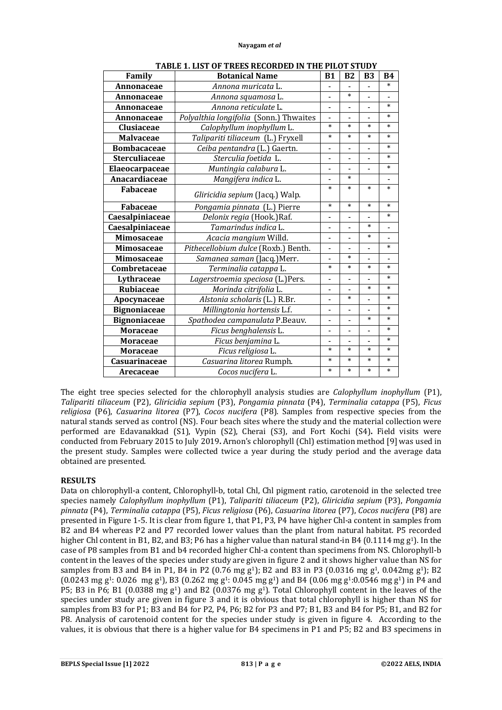| Family               | <b>Botanical Name</b>                  | <b>B1</b>                | <b>B2</b>                | <b>B3</b>      | <b>B4</b>                |
|----------------------|----------------------------------------|--------------------------|--------------------------|----------------|--------------------------|
| Annonaceae           | Annona muricata L.                     |                          |                          |                | $\ast$                   |
| Annonaceae           | Annona squamosa L.                     | $\blacksquare$           | $\ast$                   |                | $\blacksquare$           |
| Annonaceae           | Annona reticulate L.                   |                          |                          |                | $\ast$                   |
| Annonaceae           | Polyalthia longifolia (Sonn.) Thwaites | $\blacksquare$           |                          |                | $\ast$                   |
| Clusiaceae           | Calophyllum inophyllum L.              | $\ast$                   | $\ast$                   | $\ast$         | $\ast$                   |
| <b>Malvaceae</b>     | Talipariti tiliaceum (L.) Fryxell      | $\ast$                   | $\ast$                   | $\ast$         | $\ast$                   |
| <b>Bombacaceae</b>   | Ceiba pentandra (L.) Gaertn.           |                          |                          |                | $\ast$                   |
| <b>Sterculiaceae</b> | Sterculia foetida L.                   | $\blacksquare$           | $\overline{a}$           | -              | $\ast$                   |
| Elaeocarpaceae       | Muntingia calabura L.                  |                          |                          |                | $\ast$                   |
| Anacardiaceae        | Mangifera indica L.                    | $\overline{\phantom{0}}$ | $\ast$                   |                | $\overline{\phantom{a}}$ |
| <b>Fabaceae</b>      | Gliricidia sepium (Jacq.) Walp.        | $\ast$                   | $\ast$                   | $\ast$         | $\ast$                   |
| <b>Fabaceae</b>      | Pongamia pinnata (L.) Pierre           | $\ast$                   | $\ast$                   | $\ast$         | $\ast$                   |
| Caesalpiniaceae      | Delonix regia (Hook.)Raf.              | $\blacksquare$           |                          |                | $\ast$                   |
| Caesalpiniaceae      | Tamarindus indica L.                   | $\blacksquare$           |                          | $\ast$         |                          |
| Mimosaceae           | Acacia mangium Willd.                  | ä,                       |                          | $\ast$         |                          |
| <b>Mimosaceae</b>    | Pithecellobium dulce (Roxb.) Benth.    | $\blacksquare$           |                          | L,             | $\ast$                   |
| Mimosaceae           | Samanea saman (Jacq.) Merr.            |                          | $\ast$                   |                |                          |
| Combretaceae         | Terminalia catappa L.                  | $\ast$                   | $\ast$                   | $\ast$         | $\ast$                   |
| Lythraceae           | Lagerstroemia speciosa (L.)Pers.       | L,                       |                          |                | $\ast$                   |
| <b>Rubiaceae</b>     | Morinda citrifolia L.                  | $\blacksquare$           |                          | $\ast$         | $\ast$                   |
| Apocynaceae          | Alstonia scholaris (L.) R.Br.          | L,                       | $\ast$                   | $\overline{a}$ | $\ast$                   |
| <b>Bignoniaceae</b>  | Millingtonia hortensis L.f.            | $\overline{\phantom{0}}$ | $\overline{\phantom{0}}$ |                | $\ast$                   |
| <b>Bignoniaceae</b>  | Spathodea campanulata P.Beauv.         |                          |                          | $\ast$         | $\ast$                   |
| <b>Moraceae</b>      | Ficus benghalensis L.                  | $\blacksquare$           | $\overline{\phantom{0}}$ | L,             | $\ast$                   |
| <b>Moraceae</b>      | Ficus benjamina L.                     | $\overline{a}$           |                          |                | $\ast$                   |
| <b>Moraceae</b>      | Ficus religiosa L.                     | $\ast$                   | $\ast$                   | $\ast$         | $\ast$                   |
| Casuarinaceae        | Casuarina litorea Rumph.               | $\ast$                   | $\ast$                   | $\ast$         | $\ast$                   |
| Arecaceae            | Cocos nucifera L.                      | $\ast$                   | $\ast$                   | $\ast$         | $\ast$                   |

**TABLE 1. LIST OF TREES RECORDED IN THE PILOT STUDY**

The eight tree species selected for the chlorophyll analysis studies are *Calophyllum inophyllum* (P1), *Talipariti tiliaceum* (P2), *Gliricidia sepium* (P3), *Pongamia pinnata* (P4), *Terminalia catappa* (P5), *Ficus religiosa* (P6), *Casuarina litorea* (P7), *Cocos nucifera* (P8). Samples from respective species from the natural stands served as control (NS). Four beach sites where the study and the material collection were performed are Edavanakkad (S1), Vypin (S2), Cherai (S3), and Fort Kochi (S4)**.** Field visits were conducted from February 2015 to July 2019**.** Arnon's chlorophyll (Chl) estimation method [9] was used in the present study. Samples were collected twice a year during the study period and the average data obtained are presented.

# **RESULTS**

Data on chlorophyll-a content, Chlorophyll-b, total Chl, Chl pigment ratio, carotenoid in the selected tree species namely *Calophyllum inophyllum* (P1), *Talipariti tiliaceum* (P2), *Gliricidia sepium* (P3), *Pongamia pinnata* (P4), *Terminalia catappa* (P5), *Ficus religiosa* (P6), *Casuarina litorea* (P7), *Cocos nucifera* (P8) are presented in Figure 1-5. It is clear from figure 1, that P1, P3, P4 have higher Chl-a content in samples from B2 and B4 whereas P2 and P7 recorded lower values than the plant from natural habitat. P5 recorded higher Chl content in B1, B2, and B3; P6 has a higher value than natural stand-in B4 (0.1114 mg  $g<sup>1</sup>$ ). In the case of P8 samples from B1 and b4 recorded higher Chl-a content than specimens from NS. Chlorophyll-b content in the leaves of the species under study are given in figure 2 and it shows higher value than NS for samples from B3 and B4 in P1, B4 in P2 (0.76 mg g<sup>1</sup>); B2 and B3 in P3 (0.0316 mg g<sup>1</sup>, 0.042mg g<sup>1</sup>); B2  $(0.0243 \text{ mg g} \cdot 0.026 \text{ mg g} \cdot 0.0262 \text{ mg g} \cdot 0.045 \text{ mg g} \cdot 0.046 \text{ mg g} \cdot 0.066 \text{ mg g} \cdot 0.0546 \text{ mg g} \cdot 0.064 \text{ mg g} \cdot 0.0546 \text{ mg g} \cdot 0.064 \text{ mg g} \cdot 0.026 \text{ mg g} \cdot 0.026 \text{ mg g} \cdot 0.026 \text{ mg g} \cdot 0.026 \text{ mg g} \cdot 0.045 \text{ mg g} \cdot 0.045$ P5: B3 in P6: B1 (0.0388 mg  $g<sup>1</sup>$ ) and B2 (0.0376 mg  $g<sup>1</sup>$ ). Total Chlorophyll content in the leaves of the species under study are given in figure 3 and it is obvious that total chlorophyll is higher than NS for samples from B3 for P1; B3 and B4 for P2, P4, P6; B2 for P3 and P7; B1, B3 and B4 for P5; B1, and B2 for P8. Analysis of carotenoid content for the species under study is given in figure 4. According to the values, it is obvious that there is a higher value for B4 specimens in P1 and P5; B2 and B3 specimens in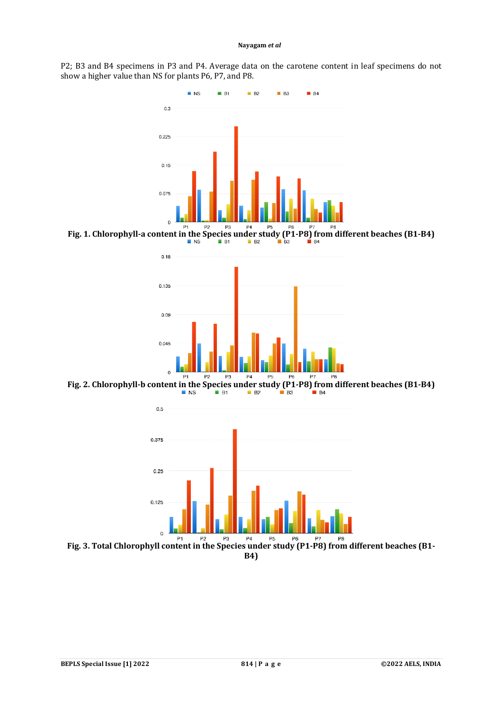P2; B3 and B4 specimens in P3 and P4. Average data on the carotene content in leaf specimens do not show a higher value than NS for plants P6, P7, and P8.



**Fig. 1. Chlorophyll-a content in the Species under study (P1-P8) from different beaches (B1-B4)**<br>
I B1 B2 B3 B3 B4 B4



**Fig. 2. Chlorophyll-b content in the Species under study (P1-P8) from different beaches (B1-B4)**<br>  $B_3$ 



**Fig. 3. Total Chlorophyll content in the Species under study (P1-P8) from different beaches (B1-B4)**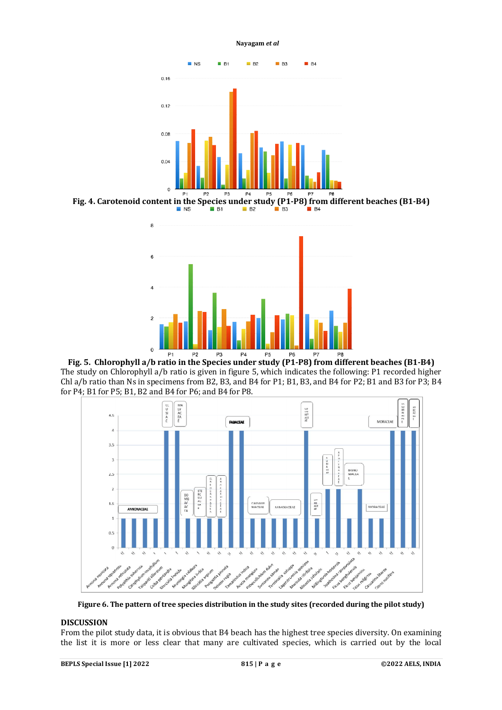

**Fig. 4. Carotenoid content in the Species under study**  $\left(\frac{P1-P8}{B_1}\right)$  **from different beaches (B1-B4)** 



**Fig. 5. Chlorophyll a/b ratio in the Species under study (P1-P8) from different beaches (B1-B4)** The study on Chlorophyll a/b ratio is given in figure 5, which indicates the following: P1 recorded higher Chl a/b ratio than Ns in specimens from B2, B3, and B4 for P1; B1, B3, and B4 for P2; B1 and B3 for P3; B4 for P4; B1 for P5; B1, B2 and B4 for P6; and B4 for P8.



**Figure 6. The pattern of tree species distribution in the study sites (recorded during the pilot study)**

# **DISCUSSION**

From the pilot study data, it is obvious that B4 beach has the highest tree species diversity. On examining the list it is more or less clear that many are cultivated species, which is carried out by the local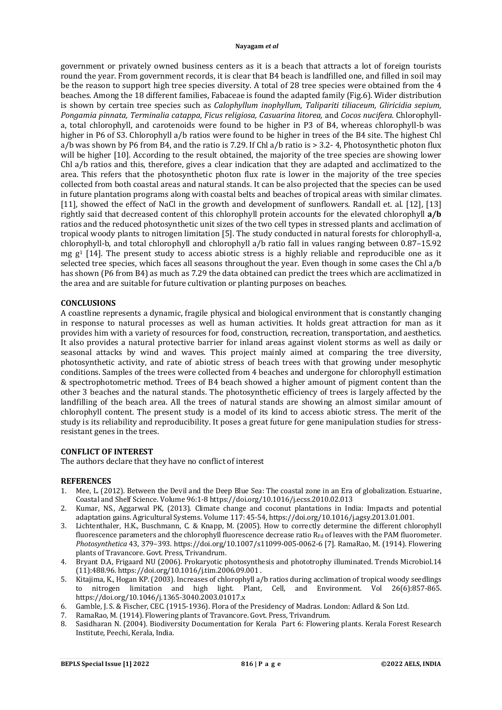government or privately owned business centers as it is a beach that attracts a lot of foreign tourists round the year. From government records, it is clear that B4 beach is landfilled one, and filled in soil may be the reason to support high tree species diversity. A total of 28 tree species were obtained from the 4 beaches. Among the 18 different families, Fabaceae is found the adapted family (Fig.6). Wider distribution is shown by certain tree species such as *Calophyllum inophyllum, Talipariti tiliaceum, Gliricidia sepium, Pongamia pinnata, Terminalia catappa, Ficus religiosa, Casuarina litorea,* and *Cocos nucifera.* Chlorophylla, total chlorophyll, and carotenoids were found to be higher in P3 of B4, whereas chlorophyll-b was higher in P6 of S3. Chlorophyll a/b ratios were found to be higher in trees of the B4 site. The highest Chl a/b was shown by P6 from B4, and the ratio is 7.29. If Chl a/b ratio is > 3.2- 4, Photosynthetic photon flux will be higher [10]. According to the result obtained, the majority of the tree species are showing lower Chl a/b ratios and this, therefore, gives a clear indication that they are adapted and acclimatized to the area. This refers that the photosynthetic photon flux rate is lower in the majority of the tree species collected from both coastal areas and natural stands. It can be also projected that the species can be used in future plantation programs along with coastal belts and beaches of tropical areas with similar climates. [11], showed the effect of NaCl in the growth and development of sunflowers. Randall et. al. [12], [13] rightly said that decreased content of this chlorophyll protein accounts for the elevated chlorophyll **a/b** ratios and the reduced photosynthetic unit sizes of the two cell types in stressed plants and acclimation of tropical woody plants to nitrogen limitation [5]. The study conducted in natural forests for chlorophyll-a, chlorophyll-b, and total chlorophyll and chlorophyll a/b ratio fall in values ranging between 0.87–15.92 mg  $g<sup>1</sup>$  [14]. The present study to access abiotic stress is a highly reliable and reproducible one as it selected tree species, which faces all seasons throughout the year. Even though in some cases the Chl a/b has shown (P6 from B4) as much as 7.29 the data obtained can predict the trees which are acclimatized in the area and are suitable for future cultivation or planting purposes on beaches.

#### **CONCLUSIONS**

A coastline represents a dynamic, fragile physical and biological environment that is constantly changing in response to natural processes as well as human activities. It holds great attraction for man as it provides him with a variety of resources for food, construction, recreation, transportation, and aesthetics. It also provides a natural protective barrier for inland areas against violent storms as well as daily or seasonal attacks by wind and waves. This project mainly aimed at comparing the tree diversity, photosynthetic activity, and rate of abiotic stress of beach trees with that growing under mesophytic conditions. Samples of the trees were collected from 4 beaches and undergone for chlorophyll estimation & spectrophotometric method. Trees of B4 beach showed a higher amount of pigment content than the other 3 beaches and the natural stands. The photosynthetic efficiency of trees is largely affected by the landfilling of the beach area. All the trees of natural stands are showing an almost similar amount of chlorophyll content. The present study is a model of its kind to access abiotic stress. The merit of the study is its reliability and reproducibility. It poses a great future for gene manipulation studies for stressresistant genes in the trees.

# **CONFLICT OF INTEREST**

The authors declare that they have no conflict of interest

#### **REFERENCES**

- 1. Mee, L. (2012). Between the Devil and the Deep Blue Sea: The coastal zone in an Era of globalization. Estuarine, Coastal and Shelf Science. Volume 96:1-8 <https://doi.org/10.1016/j.ecss.2010.02.013>
- 2. Kumar, NS., Aggarwal PK, (2013). Climate change and coconut plantations in India: Impacts and potential adaptation gains. Agricultural Systems. Volume 117: 45-54,<https://doi.org/10.1016/j.agsy.2013.01.001.>
- 3. Lichtenthaler, H.K., Buschmann, C. & Knapp, M. (2005). How to correctly determine the different chlorophyll fluorescence parameters and the chlorophyll fluorescence decrease ratio  $R_{Fd}$  of leaves with the PAM fluorometer. *Photosynthetica* 43, 379–393. <https://doi.org/10.1007/s11099-005-0062-6> [7]. RamaRao, M. (1914). Flowering plants of Travancore. Govt. Press, Trivandrum.
- 4. Bryant D.A, Frigaard NU (2006). Prokaryotic photosynthesis and phototrophy illuminated. Trends Microbiol.14 (11):488.96.<https://doi.org/10.1016/j.tim.2006.09.001> .
- 5. Kitajima, K., Hogan KP. (2003). Increases of chlorophyll a/b ratios during acclimation of tropical woody seedlings to nitrogen limitation and high light. Plant, Cell, and Environment. Vol 26(6):857-865. <https://doi.org/10.1046/j.1365-3040.2003.01017.x>
- 6. Gamble, J. S. & Fischer, CEC. (1915-1936). Flora of the Presidency of Madras. London: Adlard & Son Ltd.
- 
- 7. RamaRao, M. (1914). Flowering plants of Travancore. Govt. Press, Trivandrum.<br>8. Sasidharan N. (2004). Biodiversity Documentation for Kerala Part 6: Floweri 8. Sasidharan N. (2004). Biodiversity Documentation for Kerala Part 6: Flowering plants. Kerala Forest Research Institute, Peechi, Kerala, India.